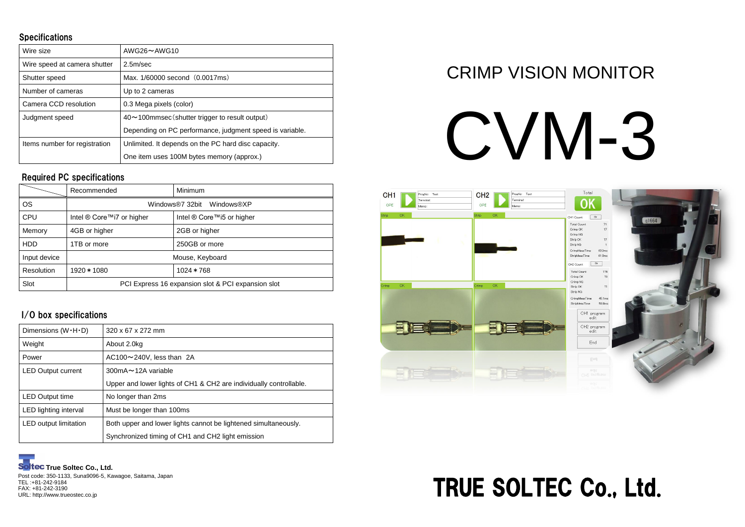### CRIMP VISION MONITOR

# CVM-3



#### **Specifications**

| Wire size                     | $AWG26 \sim AWG10$                                       |  |
|-------------------------------|----------------------------------------------------------|--|
| Wire speed at camera shutter  | 2.5m/sec                                                 |  |
| Shutter speed                 | Max. 1/60000 second (0.0017ms)                           |  |
| Number of cameras             | Up to 2 cameras                                          |  |
| Camera CCD resolution         | 0.3 Mega pixels (color)                                  |  |
| Judgment speed                | 40~100mmsec (shutter trigger to result output)           |  |
|                               | Depending on PC performance, judgment speed is variable. |  |
| Items number for registration | Unlimited. It depends on the PC hard disc capacity.      |  |
|                               | One item uses 100M bytes memory (approx.)                |  |

|              | Recommended                                        | <b>Minimum</b>                       |  |
|--------------|----------------------------------------------------|--------------------------------------|--|
| <b>OS</b>    | Windows®7 32bit Windows®XP                         |                                      |  |
| <b>CPU</b>   | Intel ® Core™i7 or higher                          | Intel <sup>®</sup> Core™i5 or higher |  |
| Memory       | 4GB or higher                                      | 2GB or higher                        |  |
| <b>HDD</b>   | 1TB or more                                        | 250GB or more                        |  |
| Input device | Mouse, Keyboard                                    |                                      |  |
| Resolution   | 1920 * 1080                                        | $1024 * 768$                         |  |
| Slot         | PCI Express 16 expansion slot & PCI expansion slot |                                      |  |

| Dimensions $(W \cdot H \cdot D)$ | $320 \times 67 \times 272$ mm                                      |  |
|----------------------------------|--------------------------------------------------------------------|--|
| Weight                           | About 2.0kg                                                        |  |
| Power                            | $AC100 \sim 240V$ , less than 2A                                   |  |
| <b>LED Output current</b>        | 300mA $\sim$ 12A variable                                          |  |
|                                  | Upper and lower lights of CH1 & CH2 are individually controllable. |  |
| <b>LED Output time</b>           | No longer than 2ms                                                 |  |
| LED lighting interval            | Must be longer than 100ms                                          |  |
| <b>LED</b> output limitation     | Both upper and lower lights cannot be lightened simultaneously.    |  |
|                                  | Synchronized timing of CH1 and CH2 light emission                  |  |

Post code: 350-1133, Suna9096-5, Kawagoe, Saitama, Japan TEL :+81-242-9184 FAX: +81-242-3190 URL: http://www.trueostec.co.jp

#### Required PC specifications

#### I/O box specifications



## TRUE SOLTEC Co., Ltd.